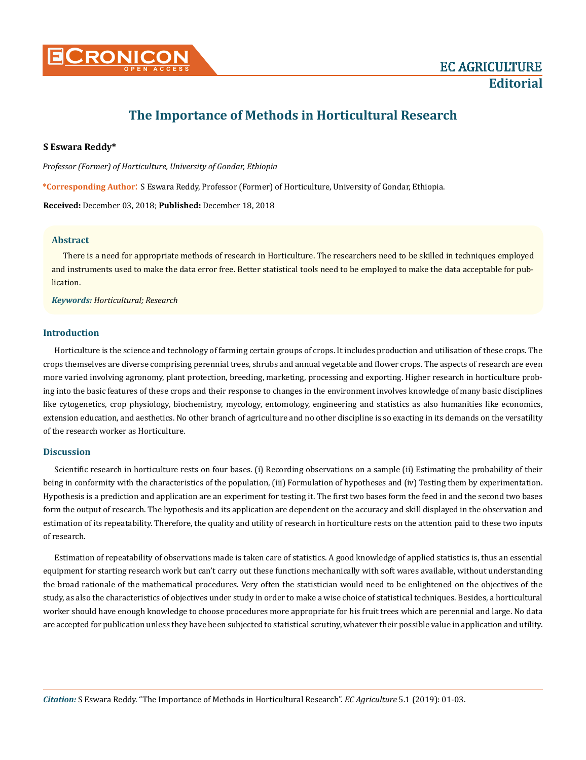

# **The Importance of Methods in Horticultural Research**

#### **S Eswara Reddy\***

*Professor (Former) of Horticulture, University of Gondar, Ethiopia*

**\*Corresponding Author**: S Eswara Reddy, Professor (Former) of Horticulture, University of Gondar, Ethiopia.

**Received:** December 03, 2018; **Published:** December 18, 2018

#### **Abstract**

There is a need for appropriate methods of research in Horticulture. The researchers need to be skilled in techniques employed and instruments used to make the data error free. Better statistical tools need to be employed to make the data acceptable for publication.

*Keywords: Horticultural; Research*

#### **Introduction**

Horticulture is the science and technology of farming certain groups of crops. It includes production and utilisation of these crops. The crops themselves are diverse comprising perennial trees, shrubs and annual vegetable and flower crops. The aspects of research are even more varied involving agronomy, plant protection, breeding, marketing, processing and exporting. Higher research in horticulture probing into the basic features of these crops and their response to changes in the environment involves knowledge of many basic disciplines like cytogenetics, crop physiology, biochemistry, mycology, entomology, engineering and statistics as also humanities like economics, extension education, and aesthetics. No other branch of agriculture and no other discipline is so exacting in its demands on the versatility of the research worker as Horticulture.

### **Discussion**

Scientific research in horticulture rests on four bases. (i) Recording observations on a sample (ii) Estimating the probability of their being in conformity with the characteristics of the population, (iii) Formulation of hypotheses and (iv) Testing them by experimentation. Hypothesis is a prediction and application are an experiment for testing it. The first two bases form the feed in and the second two bases form the output of research. The hypothesis and its application are dependent on the accuracy and skill displayed in the observation and estimation of its repeatability. Therefore, the quality and utility of research in horticulture rests on the attention paid to these two inputs of research.

Estimation of repeatability of observations made is taken care of statistics. A good knowledge of applied statistics is, thus an essential equipment for starting research work but can't carry out these functions mechanically with soft wares available, without understanding the broad rationale of the mathematical procedures. Very often the statistician would need to be enlightened on the objectives of the study, as also the characteristics of objectives under study in order to make a wise choice of statistical techniques. Besides, a horticultural worker should have enough knowledge to choose procedures more appropriate for his fruit trees which are perennial and large. No data are accepted for publication unless they have been subjected to statistical scrutiny, whatever their possible value in application and utility.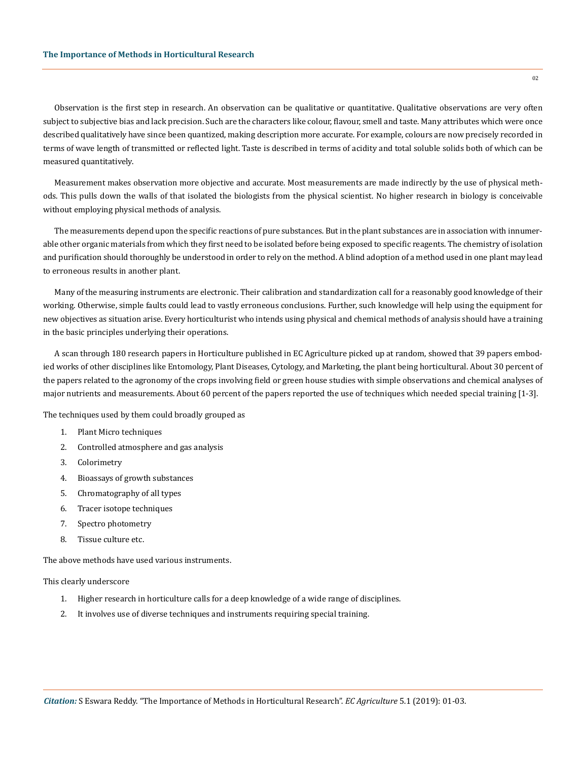Observation is the first step in research. An observation can be qualitative or quantitative. Qualitative observations are very often subject to subjective bias and lack precision. Such are the characters like colour, flavour, smell and taste. Many attributes which were once described qualitatively have since been quantized, making description more accurate. For example, colours are now precisely recorded in terms of wave length of transmitted or reflected light. Taste is described in terms of acidity and total soluble solids both of which can be measured quantitatively.

Measurement makes observation more objective and accurate. Most measurements are made indirectly by the use of physical methods. This pulls down the walls of that isolated the biologists from the physical scientist. No higher research in biology is conceivable without employing physical methods of analysis.

The measurements depend upon the specific reactions of pure substances. But in the plant substances are in association with innumerable other organic materials from which they first need to be isolated before being exposed to specific reagents. The chemistry of isolation and purification should thoroughly be understood in order to rely on the method. A blind adoption of a method used in one plant may lead to erroneous results in another plant.

Many of the measuring instruments are electronic. Their calibration and standardization call for a reasonably good knowledge of their working. Otherwise, simple faults could lead to vastly erroneous conclusions. Further, such knowledge will help using the equipment for new objectives as situation arise. Every horticulturist who intends using physical and chemical methods of analysis should have a training in the basic principles underlying their operations.

A scan through 180 research papers in Horticulture published in EC Agriculture picked up at random, showed that 39 papers embodied works of other disciplines like Entomology, Plant Diseases, Cytology, and Marketing, the plant being horticultural. About 30 percent of the papers related to the agronomy of the crops involving field or green house studies with simple observations and chemical analyses of major nutrients and measurements. About 60 percent of the papers reported the use of techniques which needed special training [1-3].

The techniques used by them could broadly grouped as

- 1. Plant Micro techniques
- 2. Controlled atmosphere and gas analysis
- 3. Colorimetry
- 4. Bioassays of growth substances
- 5. Chromatography of all types
- 6. Tracer isotope techniques
- 7. Spectro photometry
- 8. Tissue culture etc.

The above methods have used various instruments.

#### This clearly underscore

- 1. Higher research in horticulture calls for a deep knowledge of a wide range of disciplines.
- 2. It involves use of diverse techniques and instruments requiring special training.